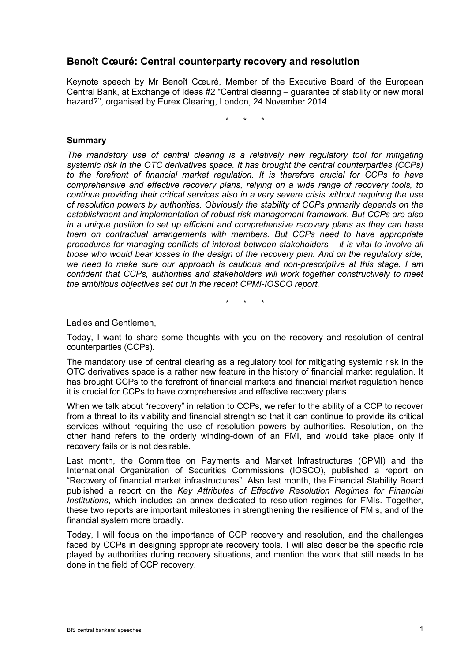# **Benoît Cœuré: Central counterparty recovery and resolution**

Keynote speech by Mr Benoît Cœuré, Member of the Executive Board of the European Central Bank, at Exchange of Ideas #2 "Central clearing – guarantee of stability or new moral hazard?", organised by Eurex Clearing, London, 24 November 2014.

 $\star$ 

#### **Summary**

*The mandatory use of central clearing is a relatively new regulatory tool for mitigating systemic risk in the OTC derivatives space. It has brought the central counterparties (CCPs) to the forefront of financial market regulation. It is therefore crucial for CCPs to have comprehensive and effective recovery plans, relying on a wide range of recovery tools, to continue providing their critical services also in a very severe crisis without requiring the use of resolution powers by authorities. Obviously the stability of CCPs primarily depends on the establishment and implementation of robust risk management framework. But CCPs are also in a unique position to set up efficient and comprehensive recovery plans as they can base them on contractual arrangements with members. But CCPs need to have appropriate procedures for managing conflicts of interest between stakeholders – it is vital to involve all those who would bear losses in the design of the recovery plan. And on the regulatory side, we need to make sure our approach is cautious and non-prescriptive at this stage. I am confident that CCPs, authorities and stakeholders will work together constructively to meet the ambitious objectives set out in the recent CPMI-IOSCO report.*

\* \* \*

Ladies and Gentlemen,

Today, I want to share some thoughts with you on the recovery and resolution of central counterparties (CCPs).

The mandatory use of central clearing as a regulatory tool for mitigating systemic risk in the OTC derivatives space is a rather new feature in the history of financial market regulation. It has brought CCPs to the forefront of financial markets and financial market regulation hence it is crucial for CCPs to have comprehensive and effective recovery plans.

When we talk about "recovery" in relation to CCPs, we refer to the ability of a CCP to recover from a threat to its viability and financial strength so that it can continue to provide its critical services without requiring the use of resolution powers by authorities. Resolution, on the other hand refers to the orderly winding-down of an FMI, and would take place only if recovery fails or is not desirable.

Last month, the Committee on Payments and Market Infrastructures (CPMI) and the International Organization of Securities Commissions (IOSCO), published a report on "Recovery of financial market infrastructures". Also last month, the Financial Stability Board published a report on the *Key Attributes of Effective Resolution Regimes for Financial Institutions*, which includes an annex dedicated to resolution regimes for FMIs. Together, these two reports are important milestones in strengthening the resilience of FMIs, and of the financial system more broadly.

Today, I will focus on the importance of CCP recovery and resolution, and the challenges faced by CCPs in designing appropriate recovery tools. I will also describe the specific role played by authorities during recovery situations, and mention the work that still needs to be done in the field of CCP recovery.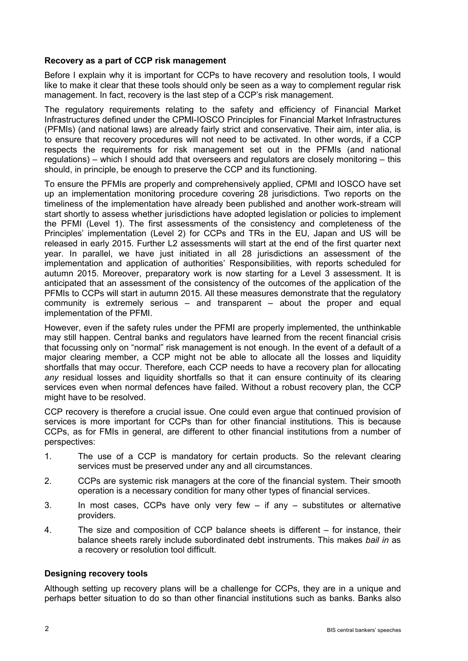### **Recovery as a part of CCP risk management**

Before I explain why it is important for CCPs to have recovery and resolution tools, I would like to make it clear that these tools should only be seen as a way to complement regular risk management. In fact, recovery is the last step of a CCP's risk management.

The regulatory requirements relating to the safety and efficiency of Financial Market Infrastructures defined under the CPMI-IOSCO Principles for Financial Market Infrastructures (PFMIs) (and national laws) are already fairly strict and conservative. Their aim, inter alia, is to ensure that recovery procedures will not need to be activated. In other words, if a CCP respects the requirements for risk management set out in the PFMIs (and national regulations) – which I should add that overseers and regulators are closely monitoring – this should, in principle, be enough to preserve the CCP and its functioning.

To ensure the PFMIs are properly and comprehensively applied, CPMI and IOSCO have set up an implementation monitoring procedure covering 28 jurisdictions. Two reports on the timeliness of the implementation have already been published and another work-stream will start shortly to assess whether jurisdictions have adopted legislation or policies to implement the PFMI (Level 1). The first assessments of the consistency and completeness of the Principles' implementation (Level 2) for CCPs and TRs in the EU, Japan and US will be released in early 2015. Further L2 assessments will start at the end of the first quarter next year. In parallel, we have just initiated in all 28 jurisdictions an assessment of the implementation and application of authorities' Responsibilities, with reports scheduled for autumn 2015. Moreover, preparatory work is now starting for a Level 3 assessment. It is anticipated that an assessment of the consistency of the outcomes of the application of the PFMIs to CCPs will start in autumn 2015. All these measures demonstrate that the regulatory community is extremely serious – and transparent – about the proper and equal implementation of the PFMI.

However, even if the safety rules under the PFMI are properly implemented, the unthinkable may still happen. Central banks and regulators have learned from the recent financial crisis that focussing only on "normal" risk management is not enough. In the event of a default of a major clearing member, a CCP might not be able to allocate all the losses and liquidity shortfalls that may occur. Therefore, each CCP needs to have a recovery plan for allocating *any* residual losses and liquidity shortfalls so that it can ensure continuity of its clearing services even when normal defences have failed. Without a robust recovery plan, the CCP might have to be resolved.

CCP recovery is therefore a crucial issue. One could even argue that continued provision of services is more important for CCPs than for other financial institutions. This is because CCPs, as for FMIs in general, are different to other financial institutions from a number of perspectives:

- 1. The use of a CCP is mandatory for certain products. So the relevant clearing services must be preserved under any and all circumstances.
- 2. CCPs are systemic risk managers at the core of the financial system. Their smooth operation is a necessary condition for many other types of financial services.
- 3. In most cases, CCPs have only very few if any substitutes or alternative providers.
- 4. The size and composition of CCP balance sheets is different for instance, their balance sheets rarely include subordinated debt instruments. This makes *bail in* as a recovery or resolution tool difficult.

#### **Designing recovery tools**

Although setting up recovery plans will be a challenge for CCPs, they are in a unique and perhaps better situation to do so than other financial institutions such as banks. Banks also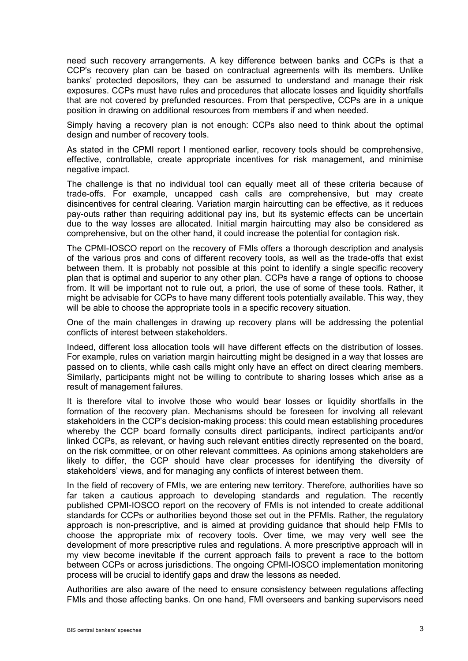need such recovery arrangements. A key difference between banks and CCPs is that a CCP's recovery plan can be based on contractual agreements with its members. Unlike banks' protected depositors, they can be assumed to understand and manage their risk exposures. CCPs must have rules and procedures that allocate losses and liquidity shortfalls that are not covered by prefunded resources. From that perspective, CCPs are in a unique position in drawing on additional resources from members if and when needed.

Simply having a recovery plan is not enough: CCPs also need to think about the optimal design and number of recovery tools.

As stated in the CPMI report I mentioned earlier, recovery tools should be comprehensive, effective, controllable, create appropriate incentives for risk management, and minimise negative impact.

The challenge is that no individual tool can equally meet all of these criteria because of trade-offs. For example, uncapped cash calls are comprehensive, but may create disincentives for central clearing. Variation margin haircutting can be effective, as it reduces pay-outs rather than requiring additional pay ins, but its systemic effects can be uncertain due to the way losses are allocated. Initial margin haircutting may also be considered as comprehensive, but on the other hand, it could increase the potential for contagion risk.

The CPMI-IOSCO report on the recovery of FMIs offers a thorough description and analysis of the various pros and cons of different recovery tools, as well as the trade-offs that exist between them. It is probably not possible at this point to identify a single specific recovery plan that is optimal and superior to any other plan. CCPs have a range of options to choose from. It will be important not to rule out, a priori, the use of some of these tools. Rather, it might be advisable for CCPs to have many different tools potentially available. This way, they will be able to choose the appropriate tools in a specific recovery situation.

One of the main challenges in drawing up recovery plans will be addressing the potential conflicts of interest between stakeholders.

Indeed, different loss allocation tools will have different effects on the distribution of losses. For example, rules on variation margin haircutting might be designed in a way that losses are passed on to clients, while cash calls might only have an effect on direct clearing members. Similarly, participants might not be willing to contribute to sharing losses which arise as a result of management failures.

It is therefore vital to involve those who would bear losses or liquidity shortfalls in the formation of the recovery plan. Mechanisms should be foreseen for involving all relevant stakeholders in the CCP's decision-making process: this could mean establishing procedures whereby the CCP board formally consults direct participants, indirect participants and/or linked CCPs, as relevant, or having such relevant entities directly represented on the board, on the risk committee, or on other relevant committees. As opinions among stakeholders are likely to differ, the CCP should have clear processes for identifying the diversity of stakeholders' views, and for managing any conflicts of interest between them.

In the field of recovery of FMIs, we are entering new territory. Therefore, authorities have so far taken a cautious approach to developing standards and regulation. The recently published CPMI-IOSCO report on the recovery of FMIs is not intended to create additional standards for CCPs or authorities beyond those set out in the PFMIs. Rather, the regulatory approach is non-prescriptive, and is aimed at providing guidance that should help FMIs to choose the appropriate mix of recovery tools. Over time, we may very well see the development of more prescriptive rules and regulations. A more prescriptive approach will in my view become inevitable if the current approach fails to prevent a race to the bottom between CCPs or across jurisdictions. The ongoing CPMI-IOSCO implementation monitoring process will be crucial to identify gaps and draw the lessons as needed.

Authorities are also aware of the need to ensure consistency between regulations affecting FMIs and those affecting banks. On one hand, FMI overseers and banking supervisors need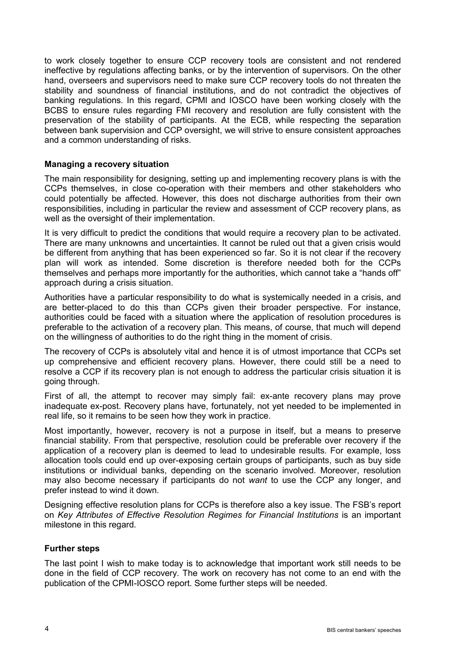to work closely together to ensure CCP recovery tools are consistent and not rendered ineffective by regulations affecting banks, or by the intervention of supervisors. On the other hand, overseers and supervisors need to make sure CCP recovery tools do not threaten the stability and soundness of financial institutions, and do not contradict the objectives of banking regulations. In this regard, CPMI and IOSCO have been working closely with the BCBS to ensure rules regarding FMI recovery and resolution are fully consistent with the preservation of the stability of participants. At the ECB, while respecting the separation between bank supervision and CCP oversight, we will strive to ensure consistent approaches and a common understanding of risks.

### **Managing a recovery situation**

The main responsibility for designing, setting up and implementing recovery plans is with the CCPs themselves, in close co-operation with their members and other stakeholders who could potentially be affected. However, this does not discharge authorities from their own responsibilities, including in particular the review and assessment of CCP recovery plans, as well as the oversight of their implementation.

It is very difficult to predict the conditions that would require a recovery plan to be activated. There are many unknowns and uncertainties. It cannot be ruled out that a given crisis would be different from anything that has been experienced so far. So it is not clear if the recovery plan will work as intended. Some discretion is therefore needed both for the CCPs themselves and perhaps more importantly for the authorities, which cannot take a "hands off" approach during a crisis situation.

Authorities have a particular responsibility to do what is systemically needed in a crisis, and are better-placed to do this than CCPs given their broader perspective. For instance, authorities could be faced with a situation where the application of resolution procedures is preferable to the activation of a recovery plan. This means, of course, that much will depend on the willingness of authorities to do the right thing in the moment of crisis.

The recovery of CCPs is absolutely vital and hence it is of utmost importance that CCPs set up comprehensive and efficient recovery plans. However, there could still be a need to resolve a CCP if its recovery plan is not enough to address the particular crisis situation it is going through.

First of all, the attempt to recover may simply fail: ex-ante recovery plans may prove inadequate ex-post. Recovery plans have, fortunately, not yet needed to be implemented in real life, so it remains to be seen how they work in practice.

Most importantly, however, recovery is not a purpose in itself, but a means to preserve financial stability. From that perspective, resolution could be preferable over recovery if the application of a recovery plan is deemed to lead to undesirable results. For example, loss allocation tools could end up over-exposing certain groups of participants, such as buy side institutions or individual banks, depending on the scenario involved. Moreover, resolution may also become necessary if participants do not *want* to use the CCP any longer, and prefer instead to wind it down.

Designing effective resolution plans for CCPs is therefore also a key issue. The FSB's report on *Key Attributes of Effective Resolution Regimes for Financial Institutions* is an important milestone in this regard.

# **Further steps**

The last point I wish to make today is to acknowledge that important work still needs to be done in the field of CCP recovery. The work on recovery has not come to an end with the publication of the CPMI-IOSCO report. Some further steps will be needed.